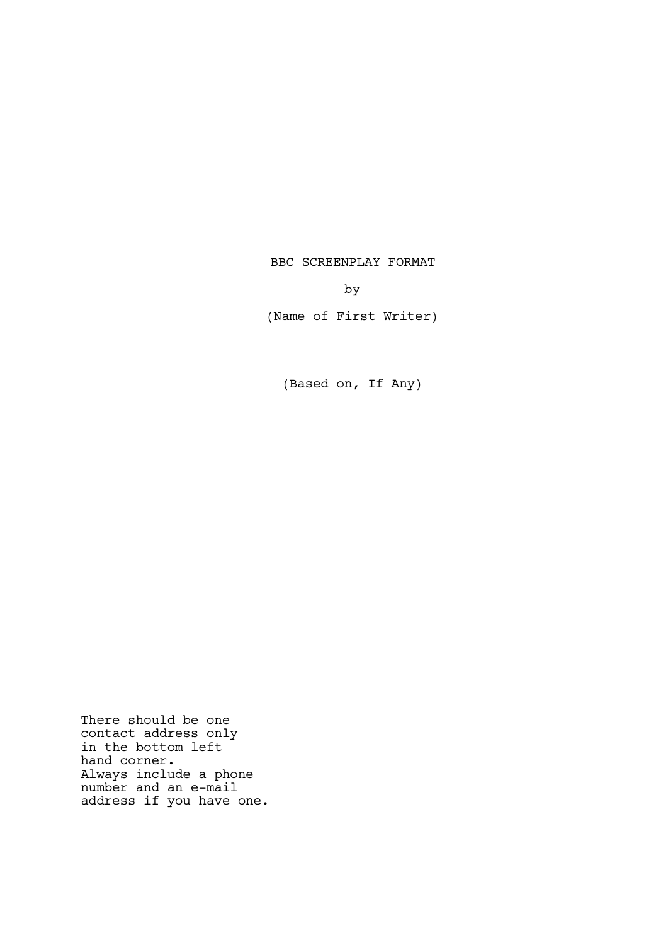BBC SCREENPLAY FORMAT

by

(Name of First Writer)

(Based on, If Any)

There should be one contact address only in the bottom left hand corner. Always include a phone number and an e-mail address if you have one.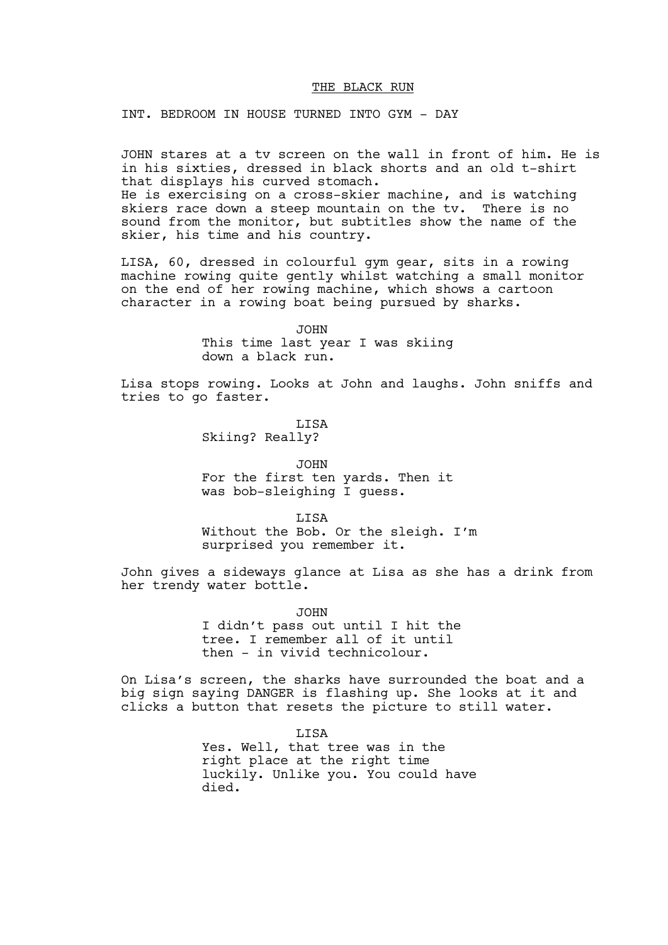### THE BLACK RUN

INT. BEDROOM IN HOUSE TURNED INTO GYM - DAY

JOHN stares at a tv screen on the wall in front of him. He is in his sixties, dressed in black shorts and an old t-shirt that displays his curved stomach. He is exercising on a cross-skier machine, and is watching skiers race down a steep mountain on the tv. There is no sound from the monitor, but subtitles show the name of the skier, his time and his country.

LISA, 60, dressed in colourful gym gear, sits in a rowing machine rowing quite gently whilst watching a small monitor on the end of her rowing machine, which shows a cartoon character in a rowing boat being pursued by sharks.

> JOHN This time last year I was skiing down a black run.

Lisa stops rowing. Looks at John and laughs. John sniffs and tries to go faster.

> LISA Skiing? Really?

JOHN For the first ten yards. Then it was bob-sleighing I guess.

LISA Without the Bob. Or the sleigh. I'm surprised you remember it.

John gives a sideways glance at Lisa as she has a drink from her trendy water bottle.

> JOHN I didn't pass out until I hit the tree. I remember all of it until then - in vivid technicolour.

On Lisa's screen, the sharks have surrounded the boat and a big sign saying DANGER is flashing up. She looks at it and clicks a button that resets the picture to still water.

> LISA Yes. Well, that tree was in the right place at the right time luckily. Unlike you. You could have died.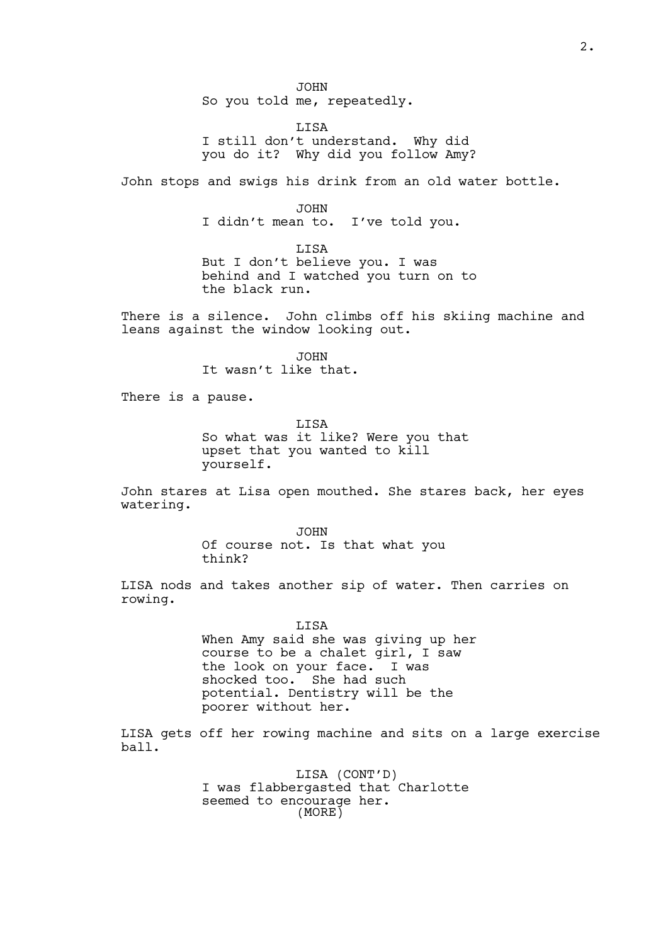JOHN So you told me, repeatedly.

LISA I still don't understand. Why did you do it? Why did you follow Amy?

John stops and swigs his drink from an old water bottle.

JOHN

I didn't mean to. I've told you.

LISA

But I don't believe you. I was behind and I watched you turn on to the black run.

There is a silence. John climbs off his skiing machine and leans against the window looking out.

> JOHN It wasn't like that.

There is a pause.

LISA So what was it like? Were you that upset that you wanted to kill yourself.

John stares at Lisa open mouthed. She stares back, her eyes watering.

> JOHN Of course not. Is that what you think?

LISA nods and takes another sip of water. Then carries on rowing.

> LISA When Amy said she was giving up her course to be a chalet girl, I saw the look on your face. I was shocked too. She had such potential. Dentistry will be the poorer without her.

LISA gets off her rowing machine and sits on a large exercise ball.

> LISA (CONT'D) I was flabbergasted that Charlotte seemed to encourage her. (MORE)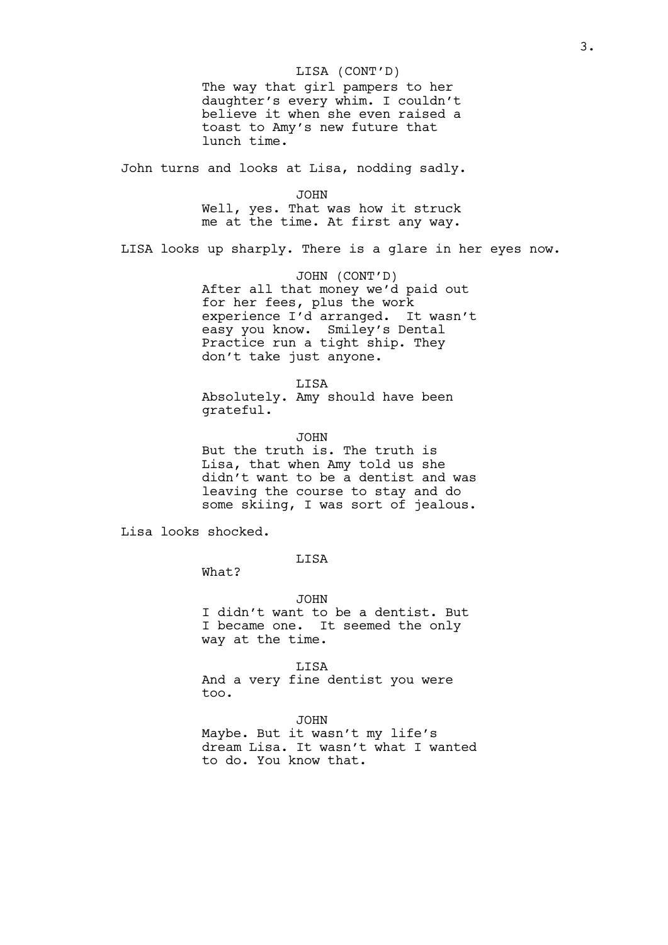# LISA (CONT'D)

The way that girl pampers to her daughter's every whim. I couldn't believe it when she even raised a toast to Amy's new future that lunch time.

John turns and looks at Lisa, nodding sadly.

JOHN

Well, yes. That was how it struck me at the time. At first any way.

LISA looks up sharply. There is a glare in her eyes now.

JOHN (CONT'D) After all that money we'd paid out for her fees, plus the work experience I'd arranged. It wasn't easy you know. Smiley's Dental Practice run a tight ship. They don't take just anyone.

LISA Absolutely. Amy should have been grateful.

JOHN But the truth is. The truth is Lisa, that when Amy told us she didn't want to be a dentist and was leaving the course to stay and do some skiing, I was sort of jealous.

Lisa looks shocked.

LISA

What?

JOHN I didn't want to be a dentist. But I became one. It seemed the only way at the time.

LISA And a very fine dentist you were too.

JOHN

Maybe. But it wasn't my life's dream Lisa. It wasn't what I wanted to do. You know that.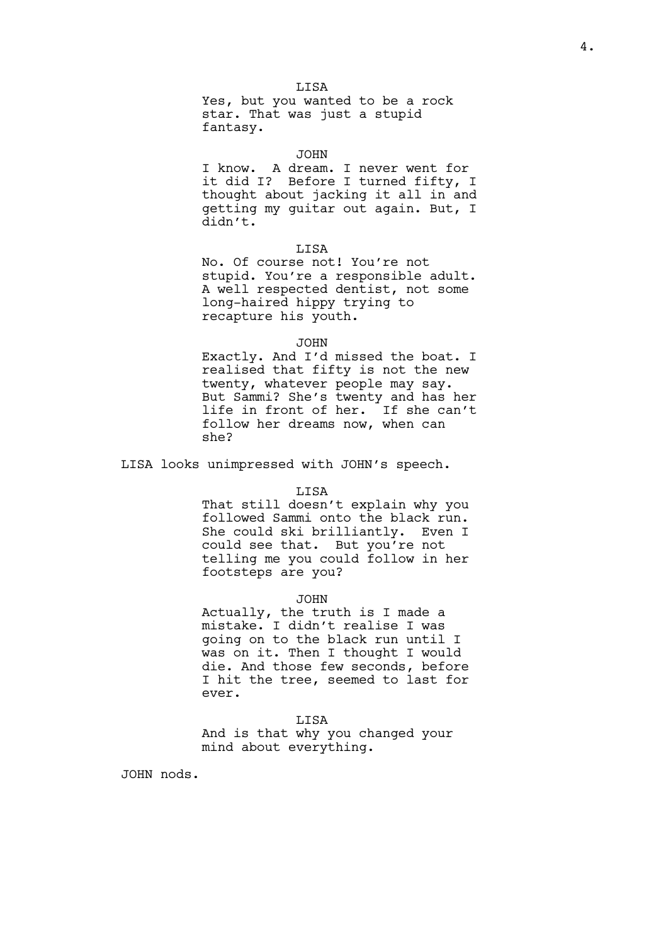**T.TSA** Yes, but you wanted to be a rock star. That was just a stupid fantasy.

# JOHN

I know. A dream. I never went for it did I? Before I turned fifty, I thought about jacking it all in and getting my guitar out again. But, I didn't.

### **T.TSA**

No. Of course not! You're not stupid. You're a responsible adult. A well respected dentist, not some long-haired hippy trying to recapture his youth.

### JOHN

Exactly. And I'd missed the boat. I realised that fifty is not the new twenty, whatever people may say. But Sammi? She's twenty and has her life in front of her. If she can't follow her dreams now, when can she?

LISA looks unimpressed with JOHN's speech.

### LISA

That still doesn't explain why you followed Sammi onto the black run. She could ski brilliantly. Even I could see that. But you're not telling me you could follow in her footsteps are you?

#### JOHN

Actually, the truth is I made a mistake. I didn't realise I was going on to the black run until I was on it. Then I thought I would die. And those few seconds, before I hit the tree, seemed to last for ever.

#### LISA

And is that why you changed your mind about everything.

JOHN nods.